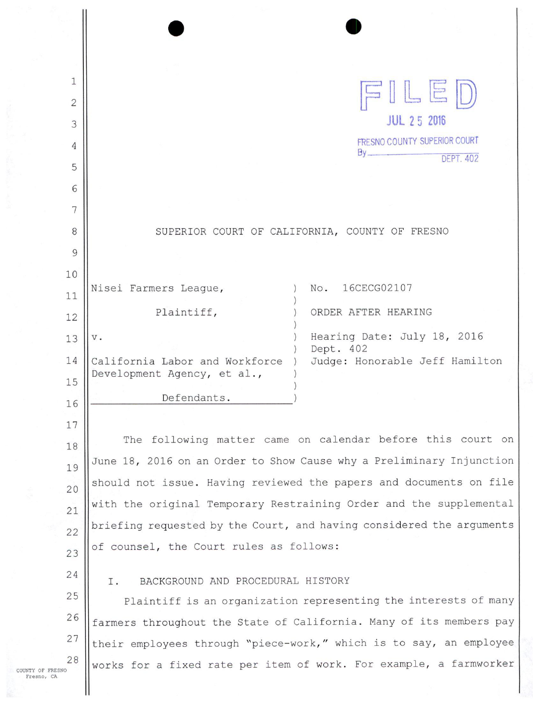| 1              |                                                                                                                 |  |  |
|----------------|-----------------------------------------------------------------------------------------------------------------|--|--|
| $\overline{c}$ | FILED                                                                                                           |  |  |
| 3              | <b>JUL 25 2016</b>                                                                                              |  |  |
| 4              | <b>FRESNO COUNTY SUPERIOR COURT</b><br>By                                                                       |  |  |
| 5              | <b>DEPT. 402</b>                                                                                                |  |  |
| 6              |                                                                                                                 |  |  |
| 7              |                                                                                                                 |  |  |
| 8              | SUPERIOR COURT OF CALIFORNIA, COUNTY OF FRESNO                                                                  |  |  |
| 9              |                                                                                                                 |  |  |
| 10             |                                                                                                                 |  |  |
| 11             | No.<br>16CECG02107<br>Nisei Farmers League,                                                                     |  |  |
| 12             | Plaintiff,<br>ORDER AFTER HEARING                                                                               |  |  |
| 13             | Hearing Date: July 18, 2016<br>$\mathbf v$ .                                                                    |  |  |
| 14             | Dept. 402<br>Judge: Honorable Jeff Hamilton<br>California Labor and Workforce                                   |  |  |
| 15             | Development Agency, et al.,                                                                                     |  |  |
| 16             | Defendants.                                                                                                     |  |  |
| 17             |                                                                                                                 |  |  |
| 18             | The following matter came on calendar before this court on                                                      |  |  |
| 19             | June 18, 2016 on an Order to Show Cause why a Preliminary Injunction                                            |  |  |
| 20             | should not issue. Having reviewed the papers and documents on file                                              |  |  |
| 21             | with the original Temporary Restraining Order and the supplemental                                              |  |  |
| 22             | briefing requested by the Court, and having considered the arguments<br>of counsel, the Court rules as follows: |  |  |
| 23             |                                                                                                                 |  |  |
| 24             | BACKGROUND AND PROCEDURAL HISTORY<br>Ι.                                                                         |  |  |
| 25             | Plaintiff is an organization representing the interests of many                                                 |  |  |
| 26             | farmers throughout the State of California. Many of its members pay                                             |  |  |
| 27             | their employees through "piece-work," which is to say, an employee                                              |  |  |
| 28             | works for a fixed rate per item of work. For example, a farmworker                                              |  |  |

COUNTY OF FRESNO Fresno, CA

 $\mathbf{\mathsf{I}}$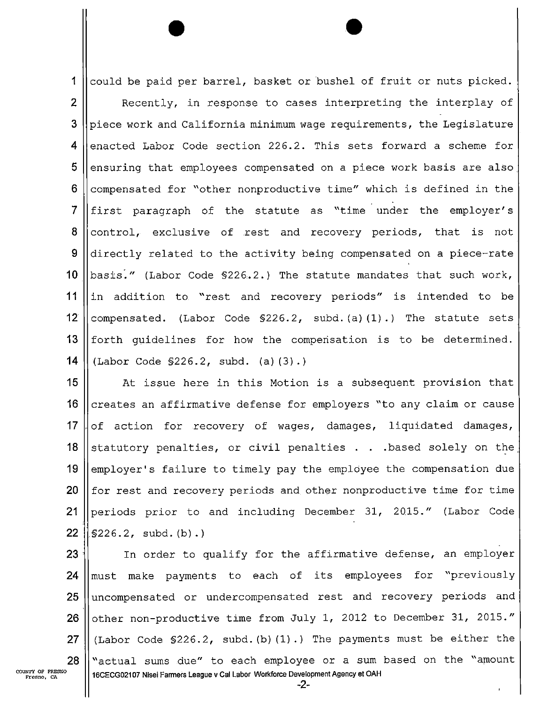1 || could be paid per barrel, basket or bushel of fruit or nuts picked.  $\overline{2}$ Recently, in response to cases interpreting the interplay of 3 piece work and California minimum wage requirements, the Legislature 4 enacted Labor Code section 226.2. This sets forward a scheme for 5 ensuring that employees compensated on a piece work basis are also  $6$ compensated for "other nonproductive time" which is defined in the  $\overline{7}$ first paragraph of the statute as "time under the employer's 8 control, exclusive of rest and recovery periods, that is not 9 directly related to the activity being compensated on a piece—rate 10 basisi" (Labor Code §226.2.) The statute mandates that such work, 11  $\|\text{in}$  addition to "rest and recovery periods" is intended to be 12  $\vert$  compensated. (Labor Code §226.2, subd.(a)(1).) The statute sets 13  $\parallel$  forth quidelines for how the compenisation is to be determined. **14** (Labor Code  $$226.2$ , subd. (a)(3).)

At issue here in this Motion is a subsequent provision that  $\vert$  creates an affirmative defense for employers "to any claim or cause  $\vert$  of action for recovery of wages, damages, liquidated damages, 18 Statutory penalties, or civil penalties  $\ldots$  . based solely on the  $\parallel$  employer's failure to timely pay the employee the compensation due || for rest and recovery periods and other nonproductive time for time 21 || periods prior to and including December 31, 2015." (Labor Code |  $$226.2$ , subd. (b).) '

 $23$  | In order to qualify for the affirmative defense, an employer 24 || must make payments to each of its employees for "previously 25 || uncompensated or undercompensated rest and recovery periods and 26  $\parallel$  other non-productive time from July 1, 2012 to December 31, 2015." 27  $\parallel$  (Labor Code §226.2, subd. (b) (1).) The payments must be either the  $28$   $\text{||}$  "actual sums due" to each employee or a sum based on the "amount 16CECG02107 Nisei Farmers League v Cal Labor Workforce Development Agency et OAH

-2-

COUNTY OF FRESNO<br>Fresno, CA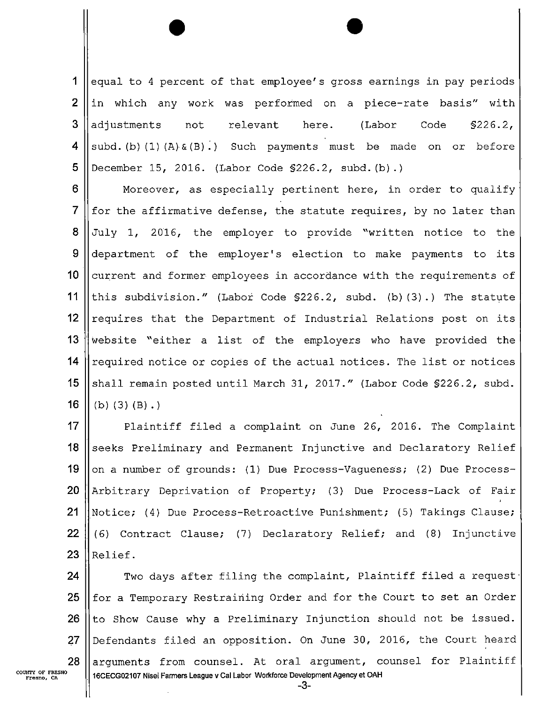$\mathbf 1$ equal to 4 percent of that employee's gross earnings in pay periods 2 in which any work was performed on a piece-rate basis" with 3 adjustments not relevant here. (Labor Code §226.2, 4 subd.(b)(1)(A) $\&(B)$ .) Such payments must be made on or before 5 December 15, 2016. (Labor Code §226.2, subd.(b).)

6 Moreover, as especially pertinent here, in order to qualify  $\overline{7}$ for the affirmative defense, the statute requires, by no later than 8 July 1, 2016, the employer to provide "written notice to the 9 department of the employer's election to make payments to its  $10$ current and former employees in accordance with the requirements of  $11$ this subdivision." (Labor Code §226.2, subd. (b)(3).) The statute  $12$ requires that the Department of Industrial Relations post on its 13 website "either a list of the employers who have provided the 14 required notice or copies of the actual notices. The list or notices 15 shall remain posted until March 31, 2017." (Labor Code §226.2, subd. 16  $(b)$   $(3)$   $(B)$ .)

17 Plaintiff filed a complaint on June 26, 2016. The Complaint 18 seeks Preliminary and Permanent Injunctive and Declaratory Relief 19 on a number of grounds: (1) Due Process-Vagueness; (2) Due Process— 20 Arbitrary Deprivation of Property; (3) Due Process-Lack of Fair 21 Notice; (4) Due Process-Retroactive Punishment; (5) Takings Clause; 22 (6) Contract Clause; (7) Declaratory Relief; and (8) Injunctive 23 Relief.

24 Two days after filing the complaint, Plaintiff filed a request. 25 for a Temporary Restraining Order and for the Court to set an Order 26 to Show Cause why a Preliminary Injunction should not be issued. 27 Defendants filed an opposition. On June 30, 2016, the Court heard arguments from counsel. At oral argument, counsel for Plaintiff 28 COUNTY OF FRESNO ' 16CECGOZ107 Nisei Farmers League v Cal Labor Workforce Development Agency et OAH

-3-

Fresno. CA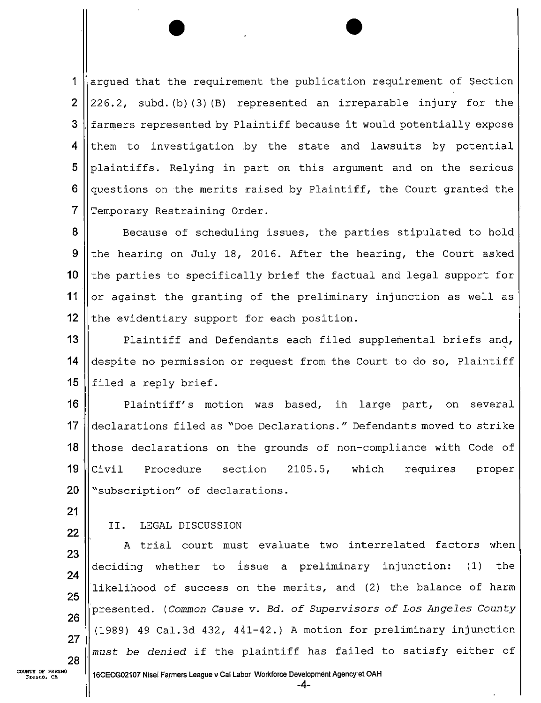1 arqued that the requirement the publication requirement of Section  $\overline{2}$ 226.2, subd.(b)(3)(B) represented an irreparable injury for the 3 farmers represented by Plaintiff because it would potentially expose 4 them to investigation by the state and lawsuits by potential 5 plaintiffs. Relying in part on this argument and on the serious 6 questions on the merits raised by Plaintiff, the Court granted the  $\overline{7}$ Temporary Restraining Order.

8 Because of scheduling issues, the parties stipulated to hold 9 the hearing on July 18, 2016. After the hearing, the Court asked  $10$ the parties to specifically brief the factual and legal support for 11  $\vert$  or against the granting of the preliminary injunction as well as 12  $\parallel$  the evidentiary support for each position.

13 || Plaintiff and Defendants each filed supplemental briefs and, 14  $\parallel$  despite no permission or request from the Court to do so, Plaintiff 15 || filed a reply brief.

16 Plaintiff's motion was based, in large part, on several 17 declarations filed as "Doe Declarations." Defendants moved to strike 18 || those declarations on the grounds of non-compliance with Code of  $19$   $|$ Civil Procedure section 2105.5, which requires proper 20 | subscription" of declarations.

21

## 22 | II. LEGAL DISCUSSION

 $\parallel$  A trial court must evaluate two interrelated factors when<br>deciding whether to issue a preliminary injunction: (1) the deciding whether to issue a preliminary injunction: likelihood of success on the merits, and (2) the balance of harm Presented. (Common Cause v. Bd. of Supervisors of Los Angeles County (1989) 49 Cal.3d 432, 441-42.) A motion for preliminary injunction  $\parallel$  must be denied if the plaintiff has failed to satisfy either of

COUNTY OF FRESNO || 16CECGO2107 Nisei Farmers League v Cal Labor Workforce Development Agency et OAH

-4-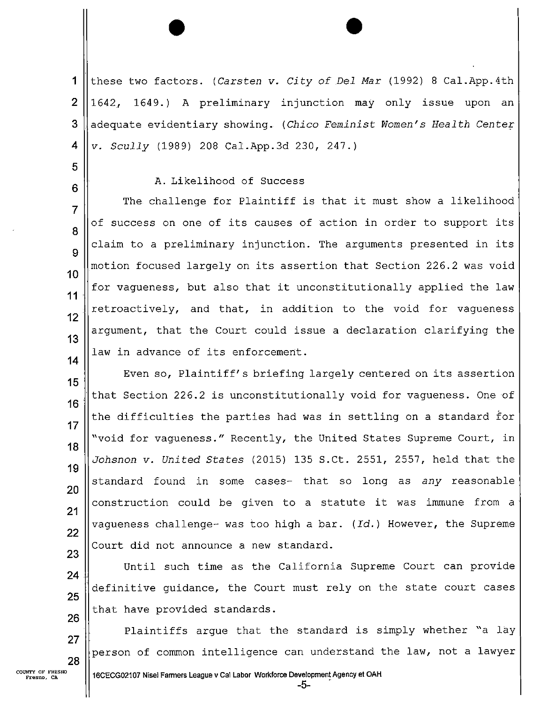$\blacktriangleleft$ these two factors. (Carsten v. City of Del Mar (1992) 8 Cal.App.4th  $\overline{2}$ 1642, 1649.) A preliminary injunction may only issue upon an 3 adequate evidentiary showing. (Chico Feminist Women's Health Center 4 v. Scully (1989) 208 Cal.App.3d 230, 247.)

A.Likelihood of Success

The challenge for Plaintiff is that it must show a likelihood  $\overline{7}$ of success on one of its causes of action in order to support its claim to a preliminary injunction. The arguments presented in its 9 motion focused largely on its assertion that Section 226.2 was void  $10$ for vagueness, but also that it unconstitutionally applied the law  $11$ retroactively, and that, in addition to the void for vagueness 12 argument, that the Court could issue a declaration clarifying the  $13$ law in advance of its enforcement.  $14$ 

Even so, Plaintiff's briefing largely centered on its assertion 15 that Section 226.2 is unconstitutionally void for vagueness. One of  $16$ the difficulties the parties had was in settling on a standard for  $17$ "void for vagueness." Recently, the United States Supreme Court, in 18 Johsnon v. United States (2015) 135 S.Ct. 2551, 2557, held that the 19 standard found in some cases- that so long as any reasonable 20 construction could be given to a statute it was immune from a  $21$ vaqueness challenge- was too high a bar.  $(Id.)$  However, the Supreme 22 Court did not announce a new standard. 23

Until such time as the California Supreme Court can provide 24 'definitive guidance, the Court must rely on the state court cases 25 that have provided standards. 26

Plaintiffs argue that the standard is simply whether "a lay 27 person of common intelligence can understand the law, not a lawyer 28

5

6

8

-5-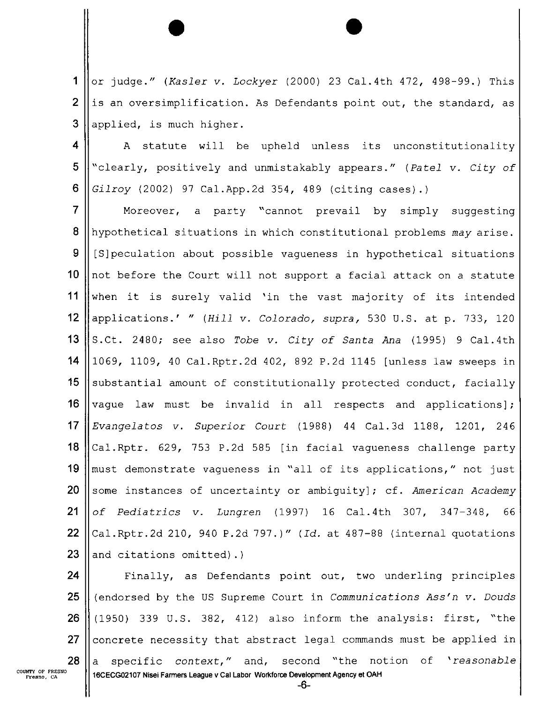A or judge." (Kasler v. Lockyer (2000) 23 Cal.4th 472, 498—99.) This  $\overline{2}$ is an oversimplification. As Defendants point out, the standard, as 3 applied, is much higher.

4 A statute will be upheld unless its unconstitutionality 5 "clearly, positively and unmistakably appears." (Patel v. City of 6 Gilroy (2002) 97 Cal.App.2d 354, 489 (citing cases).)

 $\overline{7}$ Moreover, a party "cannot prevail by simply suggesting 8 hypothetical situations in which constitutional problems may arise. 9 [S]peculation about possible vagueness in hypothetical situations not before the Court will not support a facial attack on a statute  $10$  $11$ when it is surely valid 'in the vast majority of its intended  $12$ applications.' " (Hill v. Colorado, supra, 530 U.S. at p. 733, 120  $13$ S.Ct. 2480; see also Tobe v. City of Santa Ana (1995) 9 Cal.4th 14 1069, 1109, 40 Cal.Rptr.2d 402, 892 P.2d 1145 [unless law sweeps in 15 substantial amount of constitutionally protected conduct, facially 16 vague law must be invalid in all respects and applications];  $17$ Evangelatos v. Superior Court (1988) 44 Cal.3d 1188, 1201, 246 18 Cal.Rptr. 629, 753 P.2d 585 [in facial vagueness challenge party 19 must demonstrate vagueness in "all of its applications," not just 20 some instances of uncertainty or ambiguity]; cf. American Academy 21 of Pediatrics v. Lungren (1997) 16 Cal.4th 307, 347—348, 66 22 Cal.Rptr.2d 210, 940 P.2d 797.)" (Id. at 487—88 (internal quotations 23 and citations omitted).)

24 Finally, as Defendants point out, two underling principles 25 (endorsed by the US Supreme Court in Communications Ass'n v. Douds 26 (1950) 339 U.S. 382, 412) also inform the analysis: first, "the 27 concrete necessity that abstract legal commands must be applied in 28 a specific context," and, second "the notion of 'reasonable COUNTY or FRESNO 16CECG02107 Nisei Farmers League v Cal Labor Workforce Development Agency et OAH -8-

Fresno, CA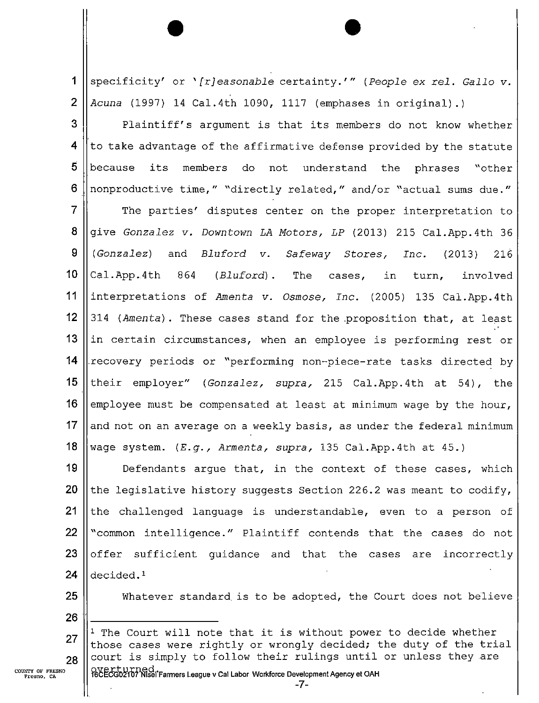.1 specificity' or '[r]easonable certainty.'" (People ex rel. Gallo v. Acuna (1997) 14 Cal.4th 1090, 1117 (emphases in original).)  $\overline{2}$ 

3 Plaintiff's argument is that its members do not know whether 4 to take advantage of the affirmative defense provided by the statute 5 because its members do not understand the phrases "other  $6\phantom{1}6$ nonproductive time," "directly related," and/or "actual sums due."

7 The parties' disputes center on the proper interpretation to 8 give Gonzalez V. Downtown LA Motors, LP (2013) 215 Cal.App.4th 36 9 (Gonzalez) and Bluford V. Safeway Stores, Inc. (2013) 216  $10$ Cal.App.4th 864 (Bluford). The cases, in turn, involved  $11$ interpretations of Amenta v. Osmose, Inc. (2005) 135 Cal.App.4th  $12$ 314 (Amenta). These cases stand for the.proposition that, at least 13 in certain circumstances, when an employee is performing rest or 14 ,recovery periods or "performing non—piece—rate tasks directed by 15 their employer" (Gonzalez, supra, 215 Cal.App.4th at 54), the 16 employee must be compensated at least at minimum wage by the hour,  $17$ and not on an average on a weekly basis, as under the federal minimum 18 wage system.  $(E.g.,$  Armenta, supra, 135 Cal.App.4th at 45.)

19 Defendants argue that, in the context of these cases, which 20 the legislative history suggests Section 226.2 was meant to codify,  $21$ the challenged language is understandable, even to a person of 22 "common intelligence." Plaintiff contends that the cases do not 23 offer sufficient guidance and that the cases are incorrectly 24 decided.1

25

Whatever standard is to be adopted, the Court does not believe

26

<sup>1</sup> The Court will note that it is without power to decide whether 27 those cases were rightly or wrongly decided; the duty of the trial court is simply to follow their rulings until or unless they are 28

COUNTY OF FRESNO Fresno. CA

OVE LUIT DECI .<br>16CECG02107 Nisei Farmers League v Cal Labor Workforce Development Agency et OAH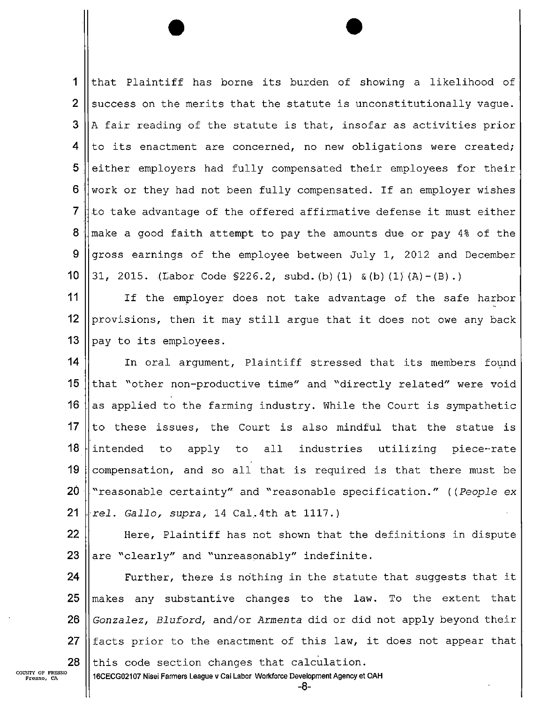$\mathbf 1$ that Plaintiff has borne its burden of showing a likelihood of  $\overline{2}$ success on the merits that the statute is unconstitutionally vague. 3 A fair reading of the statute is that, insofar as activities prior  $\boldsymbol{4}$ to its enactment are concerned, no new obligations were created; 5 . either employers had fully compensated their employees for their 6 work or they had not been fully compensated. If an employer wishes  $\overline{7}$ to take advantage of the offered affirmative defense it must either 8 make a good faith attempt to pay the amounts due or pay 4% of the 9 gross earnings of the employee between July 1, 2012 and December  $10$ 31, 2015. (Labor Code  $$226.2$ , subd.(b)(1) &(b)(1)(A)-(B).)

 $\mathbf{0}$  $12<sub>1</sub>$  $\sim$ If the employer does not take advantage of the safe harbor provisions, then it may still argue that it does not owe any back pay to its employees.

 $\sim$  1 20  $\overline{\phantom{a}}$  $\overline{\mathbf{o}}$  $\top$  $10^{\circ}$ ו:  $-$ In oral argument, Plaintiff stressed that its members found that "other non-productive time" and "directly related" were void as applied to the farming industry. While the Court is sympathetic to these issues, the Court is also mindful that the statue is intended to apply to all industries utilizing piece-rate compensation, and so all that is required is that there must be "reasonable certainty" and "reasonable specification." ((People ex rel. Gallo, supra, 14 Cal.4th at 1117.)

23  $\mathcal{L}$ Here, Plaintiff has not shown that the definitions in dispute are "clearly" and "unreasonably" indefinite.

zo  $\angle$ ∠o 25  $\sim$ Further, there is nothing in the statute that suggests that it makes any substantive changes to the law. To the extent that Gonzalez, Bluford, and/or Armenta did or did not apply beyond their facts prior to the enactment of this law, it does not appear that this code section changes that calculation.

COUNTY OF FRESNO<br>Fresno, CA

16CECGOZ107 Nisei Farmers League v Cal Labor Workforce Development Agency at OAH

-3-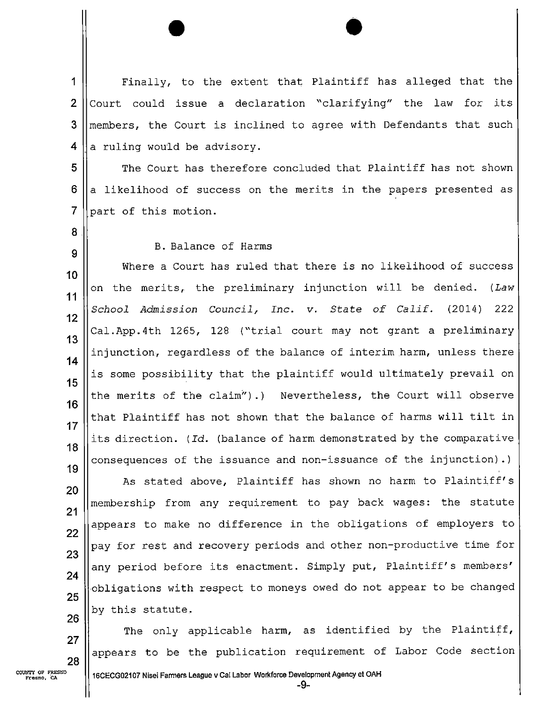Finally, to the extent that Plaintiff has alleged that the  $\mathbf 1$  $\overline{2}$ Court could issue a declaration "clarifying" the law for its 3 members, the Court is inclined to agree with Defendants that such 4 a ruling would be advisory.

5 The Court has therefore concluded that Plaintiff has not shown  $6$ a likelihood of success on the merits in the papers presented as  $\overline{7}$ part of this motion.

8

9

## B.Balance of Harms

Where a Court has ruled that there is no likelihood of success 10 on the nerits, the preliminary injunction will be denied. (Law  $11$ School Admission Council, Inc. v. State of Calif. (2014) 222  $12$ Cal.App.4th 1265, 128 ("trial court may not grant a preliminary 13 injunction, regardless of the balance of interim harm, unless there  $14$ is some possibility that the plaintiff would ultimately prevail on 15 the merits of the claim").) Nevertheless, the Court will observe 16 that Plaintiff has not shown that the balance of harms will tilt in  $17$ its direction. (Id. (balance of harm demonstrated by the comparative 18 consequences of the issuance and non-issuance of the injunction).) 19

As stated above, Plaintiff has shown no harm to Plaintiff's 20 membership from any requirement to pay back wages: the statute  $21$ appears to make no difference in the obligations of employers to 22 pay for rest and recovery periods and other non-productive time for 23 any period before its enactment. Simply put, Plaintiff's members' 24 obligations with respect to moneys owed do not appear to be changed 25 by this statute. 26

The only applicable harm, as identified by the Plaintiff, appears to be the publication requirement of Labor Code section

27

28

-9-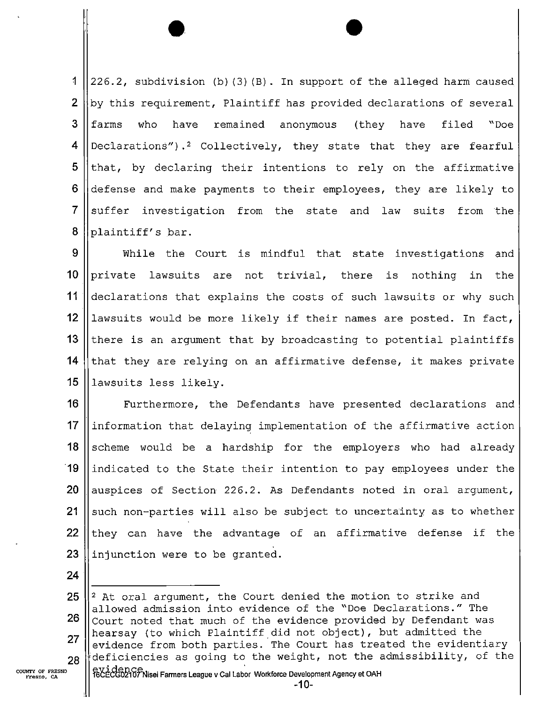1  $\vert$  226.2, subdivision (b)(3)(B). In support of the alleged harm caused  $\overline{2}$ by this requirement, Plaintiff has provided declarations of several 3 farms who have remained anonymous (they have filed "Doe 4 Declarations").2 Collectively, they state that they are fearful 5 that, by declaring their intentions to rely on the affirmative 6 defense and make payments to their employees, they are likely to  $\overline{7}$ suffer investigation from the state and law suits from the 8 plaintiff's bar.

9 While the Court is mindful that state investigations and 10 private lawsuits are not trivial, there is nothing in the 11 | declarations that explains the costs of such lawsuits or why such 12 || lawsuits would be more likely if their names are posted. In fact, 13 there is an argument that by broadcasting to potential plaintiffs 14 that they are relying on an affirmative defense, it makes private 15 || lawsuits less likely.

16 || Furthermore, the Defendants have presented declarations and ||information that delaying implementation of the affirmative action 18 Scheme would be a hardship for the employers who had already ||indicated to the State their intention to pay employees under the  $\parallel$  auspices of Section 226.2. As Defendants noted in oral argument,  $\parallel$  such non-parties will also be subject to uncertainty as to whether 22 they can have the advantage of an affirmative defense if the  $\parallel$  injunction were to be granted.

24

NTY OF FRESNO<br>Fresno, CA (1990) RECECGO2107 Nisei Farmers League v Cal Labor Workforce Development Agency et OAH

<sup>25</sup>  $\parallel$ <sup>2</sup> At oral argument, the Court denied the motion to strike and allowed admission into evidence of the "Doe Declarations." The 26  $\sim$  Court noted that much of the evidence provided by Defendant was hearsay (to which Plaintiff did not object), but admitted the 27 evidence from both parties. The Court has treated the evidentiary  $28$  deficiencies as going to the weight, not the admissibility, of the common assumed as  $28$  exidence,  $\frac{1}{2}$